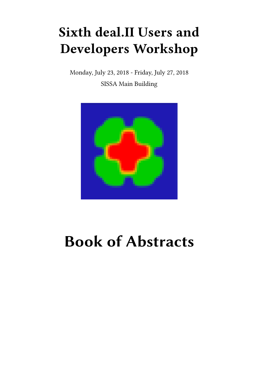## **Sixth deal.II Users and Developers Workshop**

Monday, July 23, 2018 - Friday, July 27, 2018 SISSA Main Building



# **Book of Abstracts**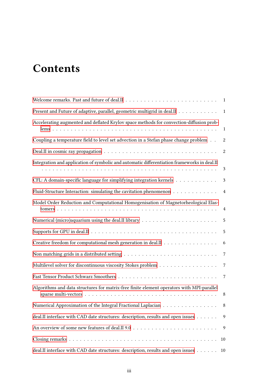## **Contents**

|                                                                                             | 1              |
|---------------------------------------------------------------------------------------------|----------------|
| Present and Future of adaptive, parallel, geometric multigrid in deal.II                    | $\mathbf{1}$   |
| Accelerating augmented and deflated Krylov space methods for convection-diffusion prob-     | 1              |
| Coupling a temperature field to level set advection in a Stefan phase change problem        | 2              |
|                                                                                             | $\overline{c}$ |
| Integration and application of symbolic and automatic differentiation frameworks in deal.II | 3              |
| CFL: A domain-specific language for simplifying integration kernels                         | $\mathfrak{Z}$ |
| Fluid-Structure Interaction: simulating the cavitation phenomenon                           | $\overline{4}$ |
| Model Order Reduction and Computational Homogenisation of Magnetorheological Elas-          | $\overline{4}$ |
|                                                                                             | 5              |
|                                                                                             | 5              |
| Creative freedom for computational mesh generation in deal.II                               | 6              |
|                                                                                             | 7              |
| Multilevel solver for discontinuous viscosity Stokes problem                                | $\overline{7}$ |
|                                                                                             | 7              |
| Algorithms and data structures for matrix-free finite element operators with MPI-parallel   | 8              |
| Numerical Approximation of the Integral Fractional Laplacian                                | 8              |
| deal.II interface with CAD date structures: description, results and open issues            | $\overline{9}$ |
|                                                                                             | - 9            |
|                                                                                             | 10             |
| deal.II interface with CAD date structures: description, results and open issues            | 10             |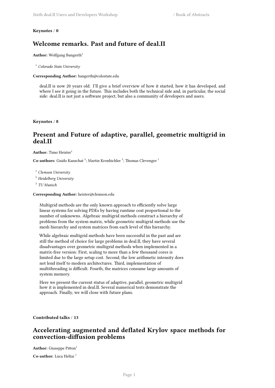#### <span id="page-4-0"></span>**Keynotes** / **0**

## **Welcome remarks. Past and future of deal.II**

**Author:** Wolfgang Bangerth<sup>1</sup>

<sup>1</sup> *Colorado State University*

**Corresponding Author:** bangerth@colostate.edu

deal.II is now 20 years old. I'll give a brief overview of how it started, how it has developed, and where I see it going in the future. This includes both the technical side and, in particular, the social side: deal.II is not just a software project, but also a community of developers and users.

<span id="page-4-1"></span>**Keynotes** / **8**

## **Present and Future of adaptive, parallel, geometric multigrid in deal.II**

**Author:** Timo Heister<sup>1</sup>

Co-authors: Guido Kanschat<sup>2</sup>; Martin Kronbichler<sup>3</sup>; Thomas Clevenger<sup>1</sup>

<sup>1</sup> *Clemson University*

<sup>2</sup> *Heidelberg University*

3 *TU Munich*

**Corresponding Author:** heister@clemson.edu

Multigrid methods are the only known approach to efficiently solve large linear systems for solving PDEs by having runtime cost proportional to the number of unknowns. Algebraic multigrid methods construct a hierarchy of problems from the system matrix, while geometric multigrid methods use the mesh hierarchy and system matrices from each level of this hierarchy.

While algebraic multigrid methods have been successful in the past and are still the method of choice for large problems in deal.II, they have several disadvantages over geometric multigrid methods when implemented in a matrix-free version: First, scaling to more than a few thousand cores is limited due to the large setup cost. Second, the low arithmetic intensity does not lend itself to modern architectures. Third, implementation of multithreading is difficult. Fourth, the matrices consume large amounts of system memory.

Here we present the current status of adaptive, parallel, geometric multigrid how it is implemented in deal.II. Several numerical tests demonstrate the approach. Finally, we will close with future plans.

<span id="page-4-2"></span>**Contributed talks** / **13**

## **Accelerating augmented and deflated Krylov space methods for convection-diffusion problems**

**Author:** Giuseppe Pitton<sup>1</sup>

**Co-author:** Luca Heltai <sup>1</sup>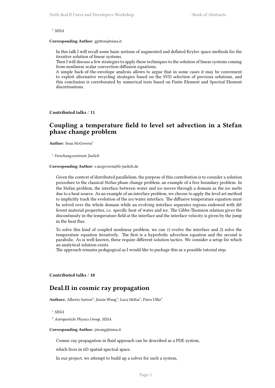1 *SISSA*

#### **Corresponding Author:** gpitton@sissa.it

In this talk I will recall some basic notions of augmented and deflated Krylov space methods for the iterative solution of linear systems.

Then I will discuss a few strategies to apply these techniques to the solution of linear systems coming from nonlinear scalar convection-diffusion equations.

A simple back-of-the-envelope analysis allows to argue that in some cases it may be convenient to exploit alternative recycling strategies based on the SVD selection of previous solutions, and this conclusion is corroborated by numerical tests based on Finite Element and Spectral Element discretisations.

<span id="page-5-0"></span>**Contributed talks** / **11**

## **Coupling a temperature field to level set advection in a Stefan phase change problem**

Author: Sean McGovern<sup>1</sup>

1 *Forschungszentrum Juelich*

#### **Corresponding Author:** s.mcgovern@fz-juelich.de

Given the context of distributed parallelism, the purpose of this contribution is to consider a solution procedure to the classical Stefan phase change problem, an example of a free boundary problem. In the Stefan problem, the interface between water and ice moves through a domain as the ice melts due to a heat source. As an example of an interface problem, we choose to apply the level set method to implicitly track the evolution of the ice/water interface. The diffusive temperature equation must be solved over the whole domain while an evolving interface separates regions endowed with different material properties, i.e. specific heat of water and ice. The Gibbs-Thomson relation gives the discontinuity in the temperature field at the interface and the interface velocity is given by the jump in the heat flux.

To solve this kind of coupled nonlinear problem, we can 1) evolve the interface and 2) solve the temperature equation iteratively. The first is a hyperbolic advection equation and the second is parabolic. As is well-known, these require different solution tactics. We consider a setup for which an analytical solution exists.

The approach remains pedagogical as I would like to package this as a possible tutorial step.

#### <span id="page-5-1"></span>**Contributed talks** / **18**

### **Deal.II in cosmic ray propagation**

 $\mathbf{Authors:}~\mathrm{Alberto~Sartori}^{1};\mathrm{Jiaxin~Wang}^{1};\mathrm{Luca~Heltai}^{1};\mathrm{Piero~Ullio}^{2}$ 

1 *SISSA*

<sup>2</sup> *Astroparticle Physics Group, SISSA*

#### **Corresponding Author:** jiwang@sissa.it

Cosmic ray propagation in fluid approach can be described as a PDE system,

which lives in 6D spatial-spectral space.

In our project, we attempt to build up a solver for such a system,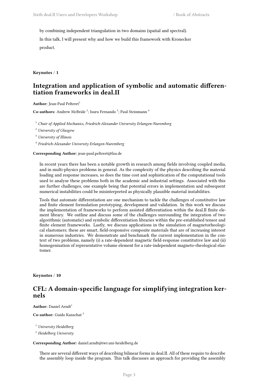by combining independent triangulation in two domains (spatial and spectral).

In this talk, I will present why and how we build this framework with Kronecker product.

**Keynotes** / **1**

## **Integration and application of symbolic and automatic differentiation frameworks in deal.II**

**Author:** Jean-Paul Pelteret<sup>1</sup>

Co-authors: Andrew McBride<sup>2</sup>; Isuru Fernando<sup>3</sup>; Paul Steinmann<sup>4</sup>

<sup>1</sup> *Chair of Applied Mechanics, Friedrich-Alexander University Erlangen-Nuremberg*

<sup>2</sup> *University of Glasgow*

<sup>3</sup> *University of Illinois*

4 *Friedrich-Alexander University Erlangen-Nuremberg*

**Corresponding Author:** jean-paul.pelteret@fau.de

In recent years there has been a notable growth in research among fields involving coupled media, and in multi-physics problems in general. As the complexity of the physics describing the material loading and response increases, so does the time cost and sophistication of the computational tools used to analyse these problems both in the academic and industrial settings. Associated with this are further challenges, one example being that potential errors in implementation and subsequent numerical instabilities could be misinterpreted as physically plausible material instabilities.

Tools that automate differentiation are one mechanism to tackle the challenges of constitutive law and finite element formulation prototyping, development and validation. In this work we discuss the implementation of frameworks to perform assisted differentiation within the deal.II finite element library. We outline and discuss some of the challenges surrounding the integration of two algorithmic (automatic) and symbolic differentiation libraries within the pre-established tensor and finite element frameworks. Lastly, we discuss applications in the simulation of magnetorheological elastomers; these are smart, field-responsive composite materials that are of increasing interest in numerous industries. We demonstrate and benchmark the current implementation in the context of two problems, namely (i) a rate-dependent magnetic field-response constitutive law and (ii) homogenisation of representative volume element for a rate-independent magneto-rheological elastomer.

<span id="page-6-0"></span>**Keynotes** / **10**

## **CFL: A domain-specific language for simplifying integration kernels**

**Author:** Daniel Arndt<sup>1</sup>

**Co-author:** Guido Kanschat <sup>2</sup>

<sup>1</sup> *University Heidelberg*

<sup>2</sup> *Heidelberg University*

#### **Corresponding Author:** daniel.arndt@iwr.uni-heidelberg.de

There are several different ways of describing bilinear forms in deal.II. All of these require to describe the assembly loop inside the program. This talk discusses an approach for providing the assembly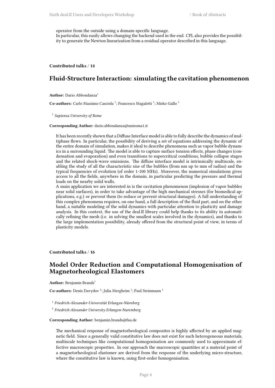operator from the outside using a domain-specific language.

In particular, this easily allows changing the backend used in the end. CFL also provides the possibility to generate the Newton linearization from a residual operator described in this language.

<span id="page-7-0"></span>**Contributed talks** / **14**

## **Fluid-Structure Interaction: simulating the cavitation phenomenon**

Author: Dario Abbondanza<sup>1</sup>

Co-authors: Carlo Massimo Casciola<sup>1</sup>; Francesco Magaletti<sup>1</sup>; Mirko Gallo<sup>1</sup>

1 *Sapienza University of Rome*

**Corresponding Author:** dario.abbondanza@uniroma1.it

It has been recently shown that a Diffuse Interface model is able to fully describe the dynamics of multiphase flows. In particular, the possibility of deriving a set of equations addressing the dynamic of the entire domain of simulation, makes it ideal to describe phenomena such as vapor bubble dynamics in a surrounding liquid. The model is able to capture surface tension effects, phase changes (condensation and evaporation) and even transitions to supercritical conditions, bubble collapse stages and the related shock-wave emissions. The diffuse interface model is intrinsically multiscale, enabling the study of all the characteristic size of the bubbles (from nm up to mm of radius) and the typical frequencies of evolution (of order 1-100 MHz). Moreover, the numerical simulations gives access to all the fields, anywhere in the domain, in particular predicting the pressure and thermal loads on the nearby solid walls.

A main application we are interested in is the cavitation phenomenon (implosion of vapor bubbles near solid surfaces), in order to take advantage of the high mechanical stresses (for biomedical applications, e.g.) or prevent them (to reduce or prevent structural damages). A full understanding of this complex phenomena requires, on one hand, a full description of the fluid part, and on the other hand, a suitable modeling of the solid dynamics with particular attention to plasticity and damage analysis. In this context, the use of the deal.II library could help thanks to its ability in automatically refining the mesh (i.e. in solving the smallest scales involved in the dynamics), and thanks to the large implementation possibility, already offered from the structural point of view, in terms of plasticity models.

<span id="page-7-1"></span>**Contributed talks** / **16**

## **Model Order Reduction and Computational Homogenisation of Magnetorheological Elastomers**

Author: Benjamin Brands<sup>1</sup>

Co-authors: Denis Davydov<sup>2</sup>; Julia Mergheim<sup>1</sup>; Paul Steinmann<sup>1</sup>

1 *Friedrich-Alexander-Universität Erlangen-Nürnberg*

2 *Friedrich-Alexander University Erlangen-Nuremberg*

#### **Corresponding Author:** benjamin.brands@fau.de

The mechanical response of magnetorheological composites is highly affected by an applied magnetic field. Since a generally valid constitutive law does not exist for such heterogeneous materials, multiscale techniques like computational homogenisation are commonly used to approximate effective macroscopic properties. In our approach the macroscopic quantities at a material point of a magnetorheological elastomer are derived from the response of the underlying micro-structure, where the constitutive law is known, using first-order homogenisation.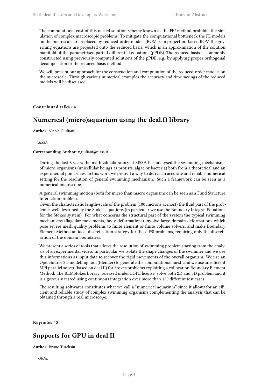The computational cost of this nested solution scheme known as the FE² method prohibits the simulation of complex macroscopic problems. To mitigate the computational bottleneck the FE models on the microscale are replaced by reduced-order models (ROMs). In projection-based ROM the governing equations are projected onto the reduced basis, which is an approximation of the solution manifold of the parametrised partial differential equations (pPDE). The reduced basis is commonly constructed using previously computed solutions of the pPDE, e.g. by applying proper orthogonal decomposition or the reduced basis method.

We will present our approach for the construction and computation of the reduced-order models on the microscale. Through various numerical examples the accuracy and time savings of the reduced models will be discussed.

#### <span id="page-8-0"></span>**Contributed talks** / **4**

## **Numerical (micro)aquarium using the deal.II library**

**Author:** Nicola Giuliani<sup>1</sup>

1 *SISSA*

#### **Corresponding Author:** ngiuliani@sissa.it

During the last 8 years the mathLab laboratory at SISSA has analysed the swimming mechanisms of micro-organisms (unicellular beings as protists, algae or bacteria) both from a theoretical and an experimental point view. In this work we present a way to derive an accurate and reliable numerical setting for the resolution of general swimming mechanism. Such a framework can be seen as a numerical microscope.

A general swimming motion (both for micro than macro organism) can be seen as a Fluid Structure Interaction problem.

Given the characteristic length-scale of the problem (100 microns at most) the fluid part of the problem is well described by the Stokes equations (in particular we use the Boundary Integral Equations for the Stokes system). For what concerns the structural part of the system the typical swimming mechanisms (flagellar movements, body deformations) involve large domain deformations which pose severe mesh quality problems to finite element or finite volume solvers, and make Boundary Element Method an ideal discretisation strategy for these FSI problems, requiring only the discretisation of the domain boundaries.

We present a series of tools that allows the resolution of swimming problem starting from the analysis of an experimental video. In particular we isolate the shape changes of the swimmer and we use this informations as input data to recover the rigid movements of the overall organism. We use an OpenSource 3D modelling tool (Blender) to generate the computational mesh and we use an efficient MPI parallel solver (based on deal.II) for Stokes problems exploiting a collocation Boundary Element Method. The BEMStokes library, released under LGPL license, solve both 2D and 3D problem and it is rigorously tested using continuous integration over more than 120 different test cases.

The resulting softwares constitutes what we call a "numerical aquarium" since it allows for an efficient and reliable study of complex swimming organisms complementing the analysis that can be obtained through a real microscope.

<span id="page-8-1"></span>**Keynotes** / **2**

## **Supports for GPU in deal.II**

**Author:** Bruno Turcksin<sup>1</sup>

<sup>1</sup> *ORNL*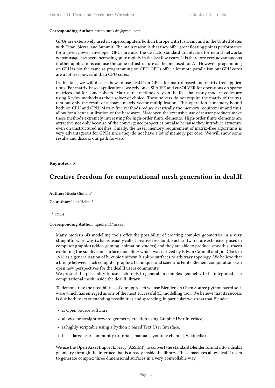#### **Corresponding Author:** bruno.turcksin@gmail.com

GPUs are extensively used in supercomputers both in Europe with Piz Daint and in the United States with Titan, Sierra, and Summit. The main reason is that they offer great floating points performance for a given power envelope. GPUs are also the de facto standard architectue for neural networks whose usage has been increasing quite rapidly in the last few years. It is therefore very advantageous if other applications can use the same infrastructure as the one used for AI. However, progamming on GPU is not the same as programming on CPU. GPUs offer a lot more parallelism but GPU cores are a lot less powerful than CPU cores.

In this talk, we will discuss how to use deal.II on GPUs for matrix-based and matrix-free applications. For matrix-based applications, we rely on cuSPARSE and cuSOLVER for operations on sparse matrices and for some solvers. Matrix-free methods rely on the fact that many modern codes are using Krylov methods as their solver of choice. These solvers do not require the matrix of the system but only the result of a sparse matrix-vector multiplication. This operation is memory bound both on CPU and GPU. Matrix-free methods reduce drastically the memory requirement and thus, allow for a better utilization of the hardware. Moreover, the extensive use of tensor products make these methods extremely interesting for high-order finite elements. High-order finite elements are attractive not only because of the convergence properties but also because they introduce structure even on unstructured meshes. Finally, the lesser memory requirement of matrix-free algorithms is very advantageous for GPUs since they do not have a lot of memory per core. We will show some results and discuss our path forward.

#### <span id="page-9-0"></span>**Keynotes** / **5**

## **Creative freedom for computational mesh generation in deal.II**

**Author:** Nicola Giuliani<sup>1</sup>

**Co-author:** Luca Heltai<sup>1</sup>

1 *SISSA*

#### **Corresponding Author:** ngiuliani@sissa.it

Many modern 3D modelling tools offer the possibility of creating complex geometries in a very straightforward way (what is usually called creative freedom). Such softwares are extensively used in computer graphics (video-gaming, animation studios) and they are able to produce smooth surfaces exploiting the subdivision surface modelling which was derived by Edwin Catmull and Jim Clark in 1978 as a generalisation of bi-cubic uniform B-spline surfaces to arbitrary topology. We believe that a bridge between such computer graphics techniques and scientific Finite Element computations can open new perspectives for the deal.II users community.

We present the possibility to use such tools to generate a complex geometry to be integrated as a computational mesh inside the deal.II library.

To demonstrate the possibilities of our approach we use Blender, an Open Source python based software which has emerged as one of the most successful 3D modelling tool. We believe that its success is due both to its outstanding possibilities and spreading, in particular we stress that Blender

- is Open Source software,
- allows for straightforward geometry creation using Graphic User Interface,
- is highly scriptable using a Python 3 based Text User Interface,
- has a large user community (tutorials, manuals, youtube channel, wikipedia).

We use the Open Asset Import Library (ASSIMP) to convert the standard Blender format into a deal.II geometry through the interface that is already inside the library. These passages allow deal.II users to generate complex three dimensional surfaces in a very controllable way.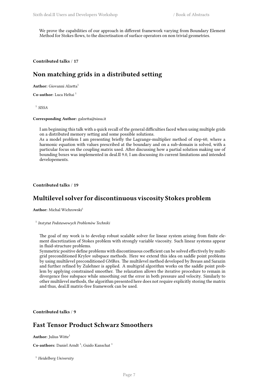We prove the capabilities of our approach in different framework varying from Boundary Element Method for Stokes flows, to the discretisation of surface operators on non trivial geometries.

<span id="page-10-0"></span>**Contributed talks** / **17**

## **Non matching grids in a distributed setting**

**Author:** Giovanni Alzetta<sup>1</sup>

**Co-author:** Luca Heltai <sup>1</sup>

1 *SISSA*

**Corresponding Author:** galzetta@sissa.it

I am beginning this talk with a quick recall of the general difficulties faced when using multiple grids on a distributed memory setting and some possible solutions.

As a model problem I am presenting briefly the Lagrange-multiplier method of step-60, where a harmonic equation with values prescribed at the boundary and on a sub-domain is solved, with a particular focus on the coupling matrix used. After discussing how a partial solution making use of bounding boxes was implemented in deal.II 9.0, I am discussing its current limitations and intended developements.

<span id="page-10-1"></span>**Contributed talks** / **19**

## **Multilevel solver for discontinuous viscosity Stokes problem**

**Author:** Michal Wichrowski<sup>1</sup>

1 *Instytut Podstawowych Problemów Techniki*

The goal of my work is to develop robust scalable solver for linear system arising from finite element discretization of Stokes problem with strongly variable viscosity. Such linear systems appear in fluid-structure problems.

Symmetric positive define problems with discontinuous coefficient can be solved effectively by multigrid preconditioned Krylov subspace methods. Here we extend this idea on saddle point problems by using multilevel preconditioned GMRes. The multilevel method developed by Breass and Sarazin and further refined by Zulehner is applied. A multigrid algorithm works on the saddle point problem by applying constrained smoother. The relaxation allows the iterative procedure to remain in divergence free subspace while smoothing out the error in both pressure and velocity. Similarly to other multilevel methods, the algorithm presented here does not require explicitly storing the matrix and thus, deal.II matrix-free framework can be used.

<span id="page-10-2"></span>**Contributed talks** / **9**

## **Fast Tensor Product Schwarz Smoothers**

Author: Julius Witte<sup>1</sup>

Co-authors: Daniel Arndt<sup>1</sup>; Guido Kanschat<sup>1</sup>

<sup>1</sup> *Heidelberg University*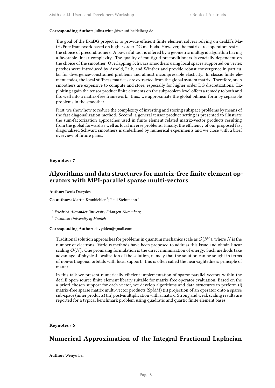#### **Corresponding Author:** julius.witte@iwr.uni-heidelberg.de

The goal of the ExaDG project is to provide efficient finite element solvers relying on deal.II's MatrixFree framework based on higher order DG methods. However, the matrix-free operators restrict the choice of preconditioners. A powerful tool is offered by a geometric multigrid algorithm having a favorable linear complexity. The quality of multigrid preconditioners is crucially dependent on the choice of the smoother. Overlapping Schwarz smoothers using local spaces supported on vertex patches were introduced by Arnold, Falk, and Winther and provide robust convergence in particular for divergence-constrained problems and almost incompressible elasticity. In classic finite element codes, the local stiffness matrices are extracted from the global system matrix. Therefore, such smoothers are expensive to compute and store, especially for higher order DG discretizations. Exploiting again the tensor product finite elements on the subproblem level offers a remedy to both and fits well into a matrix-free framework. Thus, we approximate the global bilinear form by separable problems in the smoother.

First, we show how to reduce the complexity of inverting and storing subspace problems by means of the fast diagonalization method. Second, a general tensor product setting is presented to illustrate the sum-factorization approaches used in finite element related matrix-vector products resulting from the global forward as well as local inverse problems. Finally, the efficiency of our proposed fast diagonalized Schwarz smoothers is underlined by numerical experiments and we close with a brief overview of future plans.

#### <span id="page-11-0"></span>**Keynotes** / **7**

## **Algorithms and data structures for matrix-free finite element operators with MPI-parallel sparse multi-vectors**

**Author:** Denis Davydov<sup>1</sup>

Co-authors: Martin Kronbichler<sup>2</sup>; Paul Steinmann<sup>1</sup>

1 *Friedrich-Alexander University Erlangen-Nuremberg*

2 *Technical University of Munich*

**Corresponding Author:** davydden@gmail.com

Traditional solution approaches for problems in quantum mechanics scale as  $\mathcal{O}(N^3)$ , where  $N$  is the number of electrons. Various methods have been proposed to address this issue and obtain linear scaling  $O(N)$ . One promising formulation is the direct minimization of energy. Such methods take advantage of physical localization of the solution, namely that the solution can be sought in terms of non-orthogonal orbitals with local support. This is often called the near-sightedness principle of matter.

In this talk we present numerically efficient implementation of sparse parallel vectors within the deal.II open-source finite element library suitable for matrix-free operator evaluation. Based on the a-priori chosen support for each vector, we develop algorithms and data structures to perform (i) matrix-free sparse matrix multi-vector products (SpMM) (ii) projection of an operator onto a sparse sub-space (inner products) (iii) post-multiplication with a matrix. Strong and weak scaling results are reported for a typical benchmark problem using quadratic and quartic finite element bases.

#### <span id="page-11-1"></span>**Keynotes** / **6**

## **Numerical Approximation of the Integral Fractional Laplacian**

Author: Wenyu Lei<sup>1</sup>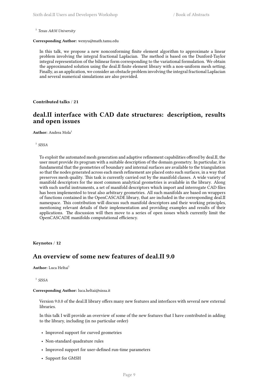1 *Texas A&M University*

#### **Corresponding Author:** wenyu@math.tamu.edu

In this talk, we propose a new nonconforming finite element algorithm to approximate a linear problem involving the integral fractional Laplacian. The method is based on the Dunford-Taylor integral representation of the bilinear form corresponding to the variational formulation. We obtain the approximated solution using the deal.II finite element library with a non-uniform mesh setting. Finally, as an application, we consider an obstacle problem involving the integral fractional Laplacian and several numerical simulations are also provided.

<span id="page-12-0"></span>**Contributed talks** / **21**

## **deal.II interface with CAD date structures: description, results and open issues**

Author: Andrea Mola<sup>1</sup>

1 *SISSA*

To exploit the automated mesh generation and adaptive refinement capabilities offered by deal.II, the user must provide its program with a suitable description of the domain geometry. In particular, it is fundamental that the geometries of boundary and internal surfaces are available to the triangulation so that the nodes generated across each mesh refinement are placed onto such surfaces, in a way that preserves mesh quality. This task is currently carried out by the manifold classes. A wide variety of manifold descriptors for the most common analytical geometries is available in the library. Along with such useful instruments, a set of manifold descriptors which import and interrogate CAD files has been implemented to treat also arbitrary geometries. All such manifolds are based on wrappers of functions contained in the OpenCASCADE library, that are included in the corresponding deal.II namespace. This contribution will discuss such manifold descriptors and their working principles, mentioning relevant details of their implementation and providing examples and results of their applications. The discussion will then move to a series of open issues which currently limit the OpenCASCADE manifolds computational efficiency.

<span id="page-12-1"></span>**Keynotes** / **12**

## **An overview of some new features of deal.II 9.0**

**Author:** Luca Heltai<sup>1</sup>

1 *SISSA*

**Corresponding Author:** luca.heltai@sissa.it

Version 9.0.0 of the deal.II library offers many new features and interfaces with several new external libraries.

In this talk I will provide an overview of some of the new features that I have contributed in adding to the library, including (in no particular order)

- Improved support for curved geometries
- Non-standard quadrature rules
- Improved support for user-defined run-time parameters
- Support for GMSH